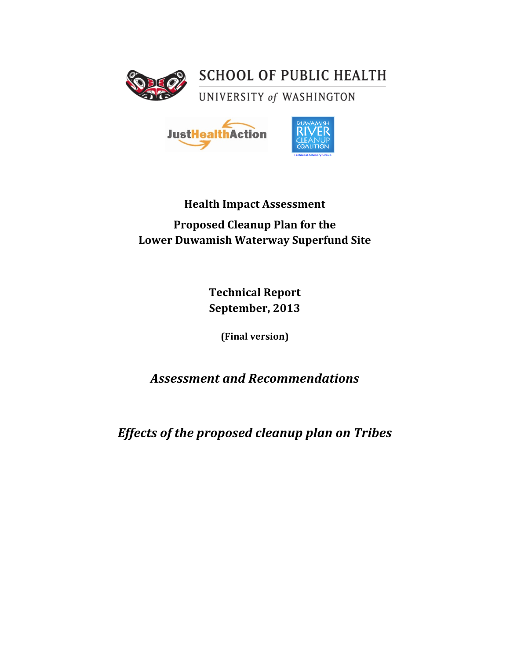

**SCHOOL OF PUBLIC HEALTH** 

UNIVERSITY of WASHINGTON



# **Health Impact Assessment Proposed Cleanup Plan for the Lower Duwamish Waterway Superfund Site**

**Technical Report** September, 2013

**(Final!version)**

# *Assessment'and'Recommendations*

*Effects'of'the'proposed'cleanup'plan'on'Tribes*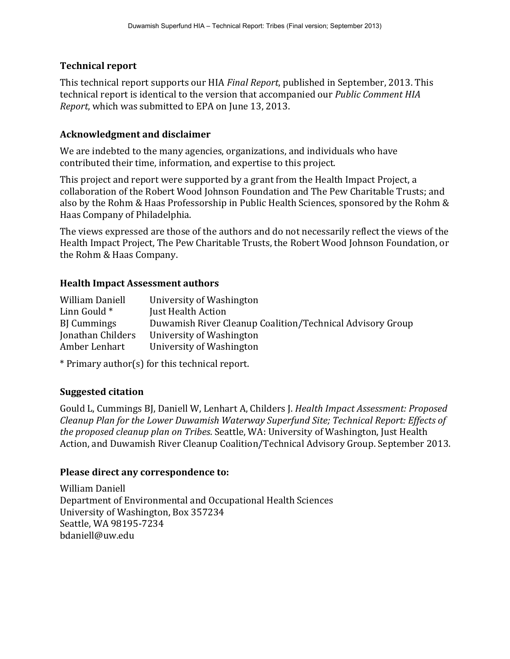# **Technical!report**

This technical report supports our HIA *Final Report*, published in September, 2013. This technical report is identical to the version that accompanied our *Public Comment HIA Report*, which was submitted to EPA on June 13, 2013.

# **Acknowledgment!and!disclaimer**

We are indebted to the many agencies, organizations, and individuals who have contributed their time, information, and expertise to this project.

This project and report were supported by a grant from the Health Impact Project, a collaboration of the Robert Wood Johnson Foundation and The Pew Charitable Trusts; and also by the Rohm & Haas Professorship in Public Health Sciences, sponsored by the Rohm & Haas Company of Philadelphia.

The views expressed are those of the authors and do not necessarily reflect the views of the Health Impact Project, The Pew Charitable Trusts, the Robert Wood Johnson Foundation, or the Rohm & Haas Company.

# **Health Impact Assessment authors**

| William Daniell   | University of Washington                                  |
|-------------------|-----------------------------------------------------------|
| Linn Gould *      | Just Health Action                                        |
| <b>B</b> Cummings | Duwamish River Cleanup Coalition/Technical Advisory Group |
| Jonathan Childers | University of Washington                                  |
| Amber Lenhart     | University of Washington                                  |
|                   |                                                           |

\* Primary author(s) for this technical report.

# **Suggested citation**

Gould L, Cummings BJ, Daniell W, Lenhart A, Childers J. *Health Impact Assessment: Proposed Cleanup Plan for the Lower Duwamish Waterway Superfund Site; Technical Report: Effects of the proposed cleanup plan on Tribes.* Seattle, WA: University of Washington, Just Health Action, and Duwamish River Cleanup Coalition/Technical Advisory Group. September 2013.

# Please direct any correspondence to:

William Daniell Department of Environmental and Occupational Health Sciences University of Washington, Box 357234 Seattle, WA 98195-7234 bdaniell@uw.edu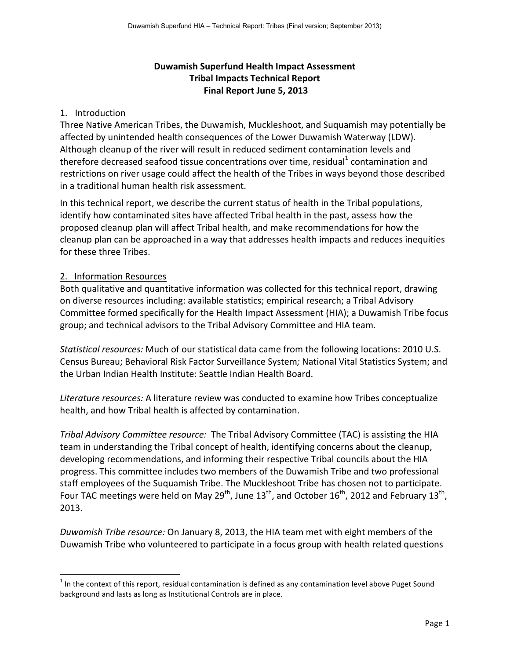# **Duwamish Superfund Health Impact Assessment Tribal Impacts)Technical)Report)** Final Report June 5, 2013

## 1. Introduction

Three Native American Tribes, the Duwamish, Muckleshoot, and Suguamish may potentially be affected by unintended health consequences of the Lower Duwamish Waterway (LDW). Although cleanup of the river will result in reduced sediment contamination levels and therefore decreased seafood tissue concentrations over time, residual<sup>1</sup> contamination and restrictions on river usage could affect the health of the Tribes in ways beyond those described in a traditional human health risk assessment.

In this technical report, we describe the current status of health in the Tribal populations, identify how contaminated sites have affected Tribal health in the past, assess how the proposed cleanup plan will affect Tribal health, and make recommendations for how the cleanup plan can be approached in a way that addresses health impacts and reduces inequities for these three Tribes.

# 2. Information Resources

!!!!!!!!!!!!!!!!!!!!!!!!!!!!!!!!!!!!!!!!!!!!!!!!!!!!!!!!!!!!

Both qualitative and quantitative information was collected for this technical report, drawing on diverse resources including: available statistics; empirical research; a Tribal Advisory Committee formed specifically for the Health Impact Assessment (HIA); a Duwamish Tribe focus group; and technical advisors to the Tribal Advisory Committee and HIA team.

*Statistical resources:* Much of our statistical data came from the following locations: 2010 U.S. Census Bureau; Behavioral Risk Factor Surveillance System; National Vital Statistics System; and the Urban Indian Health Institute: Seattle Indian Health Board.

Literature resources: A literature review was conducted to examine how Tribes conceptualize health, and how Tribal health is affected by contamination.

*Tribal Advisory Committee resource:* The Tribal Advisory Committee (TAC) is assisting the HIA team in understanding the Tribal concept of health, identifying concerns about the cleanup, developing recommendations, and informing their respective Tribal councils about the HIA progress. This committee includes two members of the Duwamish Tribe and two professional staff employees of the Suquamish Tribe. The Muckleshoot Tribe has chosen not to participate. Four TAC meetings were held on May 29<sup>th</sup>, June  $13^{th}$ , and October  $16^{th}$ , 2012 and February  $13^{th}$ , 2013.

*Duwamish Tribe resource:* On January 8, 2013, the HIA team met with eight members of the Duwamish Tribe who volunteered to participate in a focus group with health related questions

 $1$  In the context of this report, residual contamination is defined as any contamination level above Puget Sound background and lasts as long as Institutional Controls are in place.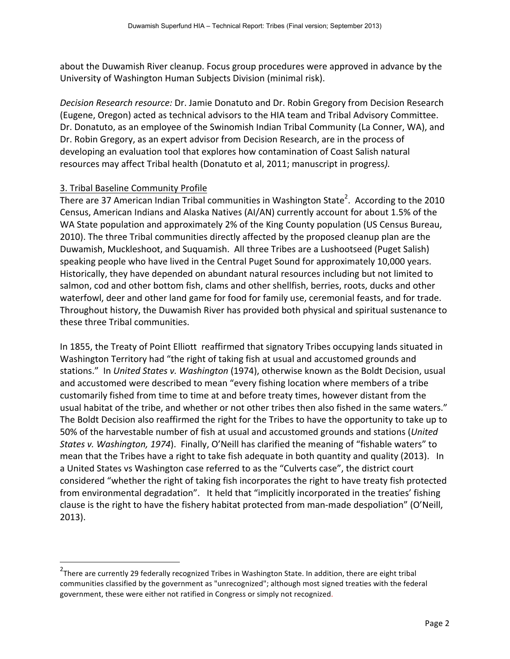about the Duwamish River cleanup. Focus group procedures were approved in advance by the University of Washington Human Subjects Division (minimal risk).

*Decision Research resource: Dr. Jamie Donatuto and Dr. Robin Gregory from Decision Research* (Eugene, Oregon) acted as technical advisors to the HIA team and Tribal Advisory Committee. Dr. Donatuto, as an employee of the Swinomish Indian Tribal Community (La Conner, WA), and Dr. Robin Gregory, as an expert advisor from Decision Research, are in the process of developing an evaluation tool that explores how contamination of Coast Salish natural resources may affect Tribal health (Donatuto et al, 2011; manuscript in progress).

# 3. Tribal Baseline Community Profile

!!!!!!!!!!!!!!!!!!!!!!!!!!!!!!!!!!!!!!!!!!!!!!!!!!!!!!!!!!!!

There are 37 American Indian Tribal communities in Washington State<sup>2</sup>. According to the 2010 Census, American Indians and Alaska Natives (AI/AN) currently account for about 1.5% of the WA State population and approximately 2% of the King County population (US Census Bureau, 2010). The three Tribal communities directly affected by the proposed cleanup plan are the Duwamish, Muckleshoot, and Suquamish. All three Tribes are a Lushootseed (Puget Salish) speaking people who have lived in the Central Puget Sound for approximately 10,000 years. Historically, they have depended on abundant natural resources including but not limited to salmon, cod and other bottom fish, clams and other shellfish, berries, roots, ducks and other waterfowl, deer and other land game for food for family use, ceremonial feasts, and for trade. Throughout history, the Duwamish River has provided both physical and spiritual sustenance to these three Tribal communities.

In 1855, the Treaty of Point Elliott reaffirmed that signatory Tribes occupying lands situated in Washington Territory had "the right of taking fish at usual and accustomed grounds and stations." In *United States v. Washington* (1974), otherwise known as the Boldt Decision, usual and accustomed were described to mean "every fishing location where members of a tribe customarily fished from time to time at and before treaty times, however distant from the usual habitat of the tribe, and whether or not other tribes then also fished in the same waters." The Boldt Decision also reaffirmed the right for the Tribes to have the opportunity to take up to 50% of the harvestable number of fish at usual and accustomed grounds and stations (*United States v. Washington, 1974*). Finally, O'Neill has clarified the meaning of "fishable waters" to mean that the Tribes have a right to take fish adequate in both quantity and quality (2013). In a United States vs Washington case referred to as the "Culverts case", the district court considered "whether the right of taking fish incorporates the right to have treaty fish protected from environmental degradation". It held that "implicitly incorporated in the treaties' fishing clause is the right to have the fishery habitat protected from man-made despoliation" (O'Neill,  $2013$ ).

<sup>&</sup>lt;sup>2</sup>There are currently 29 federally recognized Tribes in Washington State. In addition, there are eight tribal communities classified by the government as "unrecognized"; although most signed treaties with the federal government, these were either not ratified in Congress or simply not recognized.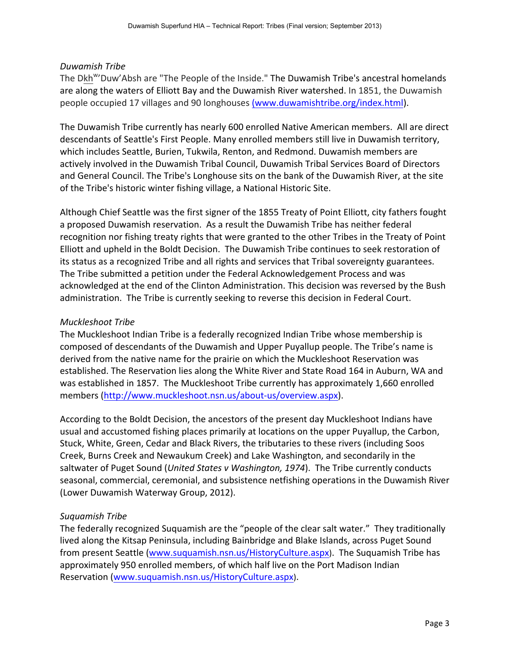### *Duwamish(Tribe*

The Dkh<sup>w</sup>'Duw'Absh are "The People of the Inside." The Duwamish Tribe's ancestral homelands are along the waters of Elliott Bay and the Duwamish River watershed. In 1851, the Duwamish people occupied 17 villages and 90 longhouses (www.duwamishtribe.org/index.html).

The Duwamish Tribe currently has nearly 600 enrolled Native American members. All are direct descendants of Seattle's First People. Many enrolled members still live in Duwamish territory, which includes Seattle, Burien, Tukwila, Renton, and Redmond. Duwamish members are actively involved in the Duwamish Tribal Council, Duwamish Tribal Services Board of Directors and General Council. The Tribe's Longhouse sits on the bank of the Duwamish River, at the site of the Tribe's historic winter fishing village, a National Historic Site.

Although Chief Seattle was the first signer of the 1855 Treaty of Point Elliott, city fathers fought a proposed Duwamish reservation. As a result the Duwamish Tribe has neither federal recognition nor fishing treaty rights that were granted to the other Tribes in the Treaty of Point Elliott and upheld in the Boldt Decision. The Duwamish Tribe continues to seek restoration of its status as a recognized Tribe and all rights and services that Tribal sovereignty guarantees. The Tribe submitted a petition under the Federal Acknowledgement Process and was acknowledged at the end of the Clinton Administration. This decision was reversed by the Bush administration. The Tribe is currently seeking to reverse this decision in Federal Court.

## **Muckleshoot Tribe**

The Muckleshoot Indian Tribe is a federally recognized Indian Tribe whose membership is composed of descendants of the Duwamish and Upper Puyallup people. The Tribe's name is derived from the native name for the prairie on which the Muckleshoot Reservation was established. The Reservation lies along the White River and State Road 164 in Auburn, WA and was established in 1857. The Muckleshoot Tribe currently has approximately 1,660 enrolled members (http://www.muckleshoot.nsn.us/about-us/overview.aspx).

According to the Boldt Decision, the ancestors of the present day Muckleshoot Indians have usual and accustomed fishing places primarily at locations on the upper Puyallup, the Carbon, Stuck, White, Green, Cedar and Black Rivers, the tributaries to these rivers (including Soos Creek, Burns Creek and Newaukum Creek) and Lake Washington, and secondarily in the saltwater of Puget Sound (*United States v Washington, 1974*). The Tribe currently conducts seasonal, commercial, ceremonial, and subsistence netfishing operations in the Duwamish River (Lower Duwamish Waterway Group, 2012).

## Suquamish Tribe

The federally recognized Suquamish are the "people of the clear salt water." They traditionally lived along the Kitsap Peninsula, including Bainbridge and Blake Islands, across Puget Sound from present Seattle (www.suquamish.nsn.us/HistoryCulture.aspx). The Suquamish Tribe has approximately 950 enrolled members, of which half live on the Port Madison Indian Reservation (www.suquamish.nsn.us/HistoryCulture.aspx).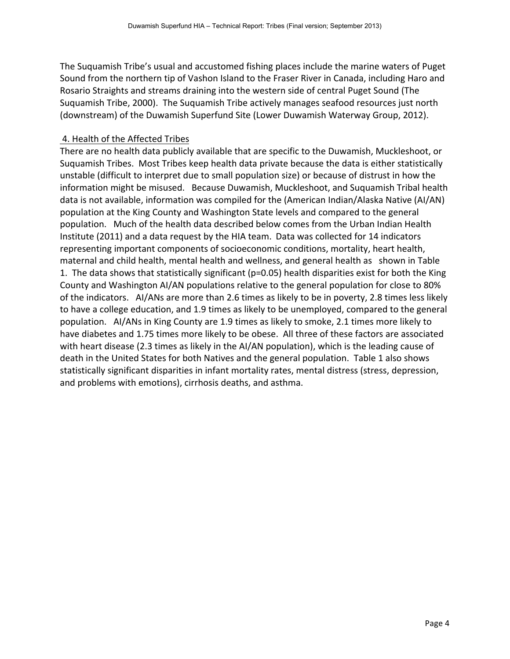The Suquamish Tribe's usual and accustomed fishing places include the marine waters of Puget Sound from the northern tip of Vashon Island to the Fraser River in Canada, including Haro and Rosario Straights and streams draining into the western side of central Puget Sound (The Suquamish Tribe, 2000). The Suquamish Tribe actively manages seafood resources just north (downstream) of the Duwamish Superfund Site (Lower Duwamish Waterway Group, 2012).

## 4. Health of the Affected Tribes

There are no health data publicly available that are specific to the Duwamish, Muckleshoot, or Suguamish Tribes. Most Tribes keep health data private because the data is either statistically unstable (difficult to interpret due to small population size) or because of distrust in how the information might be misused. Because Duwamish, Muckleshoot, and Suquamish Tribal health data is not available, information was compiled for the (American Indian/Alaska Native (AI/AN) population at the King County and Washington State levels and compared to the general population. Much of the health data described below comes from the Urban Indian Health Institute (2011) and a data request by the HIA team. Data was collected for 14 indicators representing important components of socioeconomic conditions, mortality, heart health, maternal and child health, mental health and wellness, and general health as shown in Table 1. The data shows that statistically significant ( $p=0.05$ ) health disparities exist for both the King County and Washington AI/AN populations relative to the general population for close to 80% of the indicators. AI/ANs are more than 2.6 times as likely to be in poverty, 2.8 times less likely to have a college education, and 1.9 times as likely to be unemployed, compared to the general population. AI/ANs in King County are 1.9 times as likely to smoke, 2.1 times more likely to have diabetes and 1.75 times more likely to be obese. All three of these factors are associated with heart disease (2.3 times as likely in the AI/AN population), which is the leading cause of death in the United States for both Natives and the general population. Table 1 also shows statistically significant disparities in infant mortality rates, mental distress (stress, depression, and problems with emotions), cirrhosis deaths, and asthma.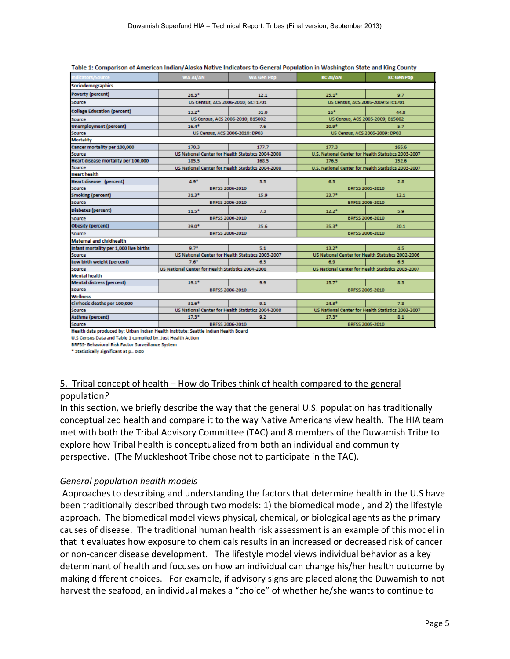| Indicators/Source                      | <b>WA AI/AN</b>                                    | <b>WA Gen Pop</b>                                  | <b>KC AI/AN</b>                                      | <b>KC Gen Pop</b>                                    |  |  |
|----------------------------------------|----------------------------------------------------|----------------------------------------------------|------------------------------------------------------|------------------------------------------------------|--|--|
| Sociodemographics                      |                                                    |                                                    |                                                      |                                                      |  |  |
| <b>Poverty (percent)</b>               | $26.3*$                                            | 12.1                                               | $25.1^*$                                             | 9.7                                                  |  |  |
| Source                                 |                                                    | US Census, ACS 2006-2010; GCT1701                  |                                                      | US Census, ACS 2005-2009:GTC1701                     |  |  |
| <b>College Education (percent)</b>     | $13.2*$                                            | 31.0                                               | $16*$                                                | 44.8                                                 |  |  |
| Source                                 | US Census, ACS 2006-2010; B15002                   |                                                    | US Census, ACS 2005-2009; B15002                     |                                                      |  |  |
| <b>Unemployment (percent)</b>          | $16.4*$                                            | 7.6                                                | $10.9*$                                              | 5.7                                                  |  |  |
| Source                                 |                                                    | US Census, ACS 2006-2010: DP03                     |                                                      | US Census, ACS 2005-2009: DP03                       |  |  |
| <b>Mortality</b>                       |                                                    |                                                    |                                                      |                                                      |  |  |
| <b>Cancer mortality per 100,000</b>    | 170.3                                              | 177.7                                              | 177.3                                                | 165.6                                                |  |  |
| Source                                 | US National Center for Health Statistics 2004-2008 |                                                    | U.S. National Center for Health Statistics 2003-2007 |                                                      |  |  |
| Heart disease mortality per 100,000    | 185.5                                              | 168.5                                              | 176.5                                                | 152.6                                                |  |  |
| Source                                 | US National Center for Health Statistics 2004-2008 |                                                    |                                                      | U.S. National Center for Health Statistics 2003-2007 |  |  |
| <b>Heart health</b>                    |                                                    |                                                    |                                                      |                                                      |  |  |
| <b>Heart disease (percent)</b>         | $4.9*$                                             | 3.5                                                | 6.3                                                  | 2.8                                                  |  |  |
| Source                                 | BRFSS 2006-2010                                    |                                                    | BRFSS 2005-2010                                      |                                                      |  |  |
| <b>Smoking (percent)</b>               | 31.3*                                              | 15.9                                               | $23.7^*$                                             | 12.1                                                 |  |  |
| Source                                 | BRFSS 2006-2010                                    |                                                    | BRFSS 2005-2010                                      |                                                      |  |  |
| <b>Diabetes (percent)</b>              | $11.5*$                                            | 7.3                                                | $12.2*$                                              | 5.9                                                  |  |  |
| Source                                 | BRFSS 2006-2010                                    |                                                    | BRFSS 2006-2010                                      |                                                      |  |  |
| <b>Obesity</b> (percent)               | 39.0*                                              | 25.6                                               | $35.3*$                                              | 20.1                                                 |  |  |
| Source                                 | BRFSS 2006-2010                                    |                                                    | BRFSS 2006-2010                                      |                                                      |  |  |
| <b>Maternal and childhealth</b>        |                                                    |                                                    |                                                      |                                                      |  |  |
| Infant mortality per 1,000 live births | $9.7*$                                             | 5.1                                                | $13.2*$                                              | 4.5                                                  |  |  |
| Source                                 | US National Center for Health Statistics 2003-2007 |                                                    | US National Center for Health Statistics 2002-2006   |                                                      |  |  |
| Low birth weight (percent)             | $7.6*$                                             | 6.3                                                | 6.9                                                  | 6.5                                                  |  |  |
| Source<br>Mental health                | US National Center for Health Statistics 2004-2008 |                                                    | US National Center for Health Statistics 2003-2007   |                                                      |  |  |
|                                        |                                                    |                                                    |                                                      |                                                      |  |  |
| <b>Mental distress (percent)</b>       | $19.1*$                                            | 99                                                 | $15.7*$                                              | 83                                                   |  |  |
| Source                                 | BRFSS 2006-2010                                    |                                                    | BRFSS 2005-2010                                      |                                                      |  |  |
| Wellness                               |                                                    |                                                    |                                                      |                                                      |  |  |
| Cirrhosis deaths per 100,000           | $31.6*$                                            | 9.1                                                | $24.3*$                                              | 7.8                                                  |  |  |
| Source<br>Asthma (percent)             |                                                    | US National Center for Health Statistics 2004-2008 |                                                      | US National Center for Health Statistics 2003-2007   |  |  |
|                                        | $17.3*$                                            | 9.2                                                | $17.3*$                                              | 8.1                                                  |  |  |
| Source                                 | BRFSS 2006-2010                                    |                                                    | BRFSS 2005-2010                                      |                                                      |  |  |

| Table 1: Comparison of American Indian/Alaska Native Indicators to General Population in Washington State and King County |  |
|---------------------------------------------------------------------------------------------------------------------------|--|
|---------------------------------------------------------------------------------------------------------------------------|--|

Health data produced by: Urban Indian Health Institute: Seattle Indian Health Board

U.S Census Data and Table 1 compiled by: Just Health Action

BRFSS- Behavioral Risk Factor Surveillance System

\* Statistically significant at p= 0.05

## 5. Tribal concept of health – How do Tribes think of health compared to the general population*?(*

In this section, we briefly describe the way that the general U.S. population has traditionally conceptualized health and compare it to the way Native Americans view health. The HIA team met with both the Tribal Advisory Committee (TAC) and 8 members of the Duwamish Tribe to explore how Tribal health is conceptualized from both an individual and community perspective. (The Muckleshoot Tribe chose not to participate in the TAC).

#### *General population health models*

Approaches to describing and understanding the factors that determine health in the U.S have been traditionally described through two models: 1) the biomedical model, and 2) the lifestyle approach. The biomedical model views physical, chemical, or biological agents as the primary causes of disease. The traditional human health risk assessment is an example of this model in that it evaluates how exposure to chemicals results in an increased or decreased risk of cancer or non-cancer disease development. The lifestyle model views individual behavior as a key determinant of health and focuses on how an individual can change his/her health outcome by making different choices. For example, if advisory signs are placed along the Duwamish to not harvest the seafood, an individual makes a "choice" of whether he/she wants to continue to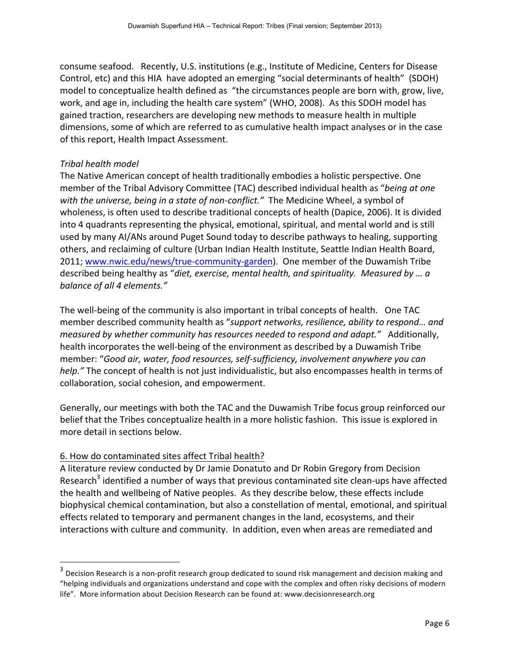consume seafood. Recently, U.S. institutions (e.g., Institute of Medicine, Centers for Disease Control, etc) and this HIA have adopted an emerging "social determinants of health" (SDOH) model to conceptualize health defined as "the circumstances people are born with, grow, live, work, and age in, including the health care system" (WHO, 2008). As this SDOH model has gained traction, researchers are developing new methods to measure health in multiple dimensions, some of which are referred to as cumulative health impact analyses or in the case of this report, Health Impact Assessment.

## **Tribal health model**

The Native American concept of health traditionally embodies a holistic perspective. One member of the Tribal Advisory Committee (TAC) described individual health as "*being at one with the universe, being in a state of non-conflict."* The Medicine Wheel, a symbol of wholeness, is often used to describe traditional concepts of health (Dapice, 2006). It is divided into 4 quadrants representing the physical, emotional, spiritual, and mental world and is still used by many AI/ANs around Puget Sound today to describe pathways to healing, supporting others, and reclaiming of culture (Urban Indian Health Institute, Seattle Indian Health Board, 2011; www.nwic.edu/news/true-community-garden). One member of the Duwamish Tribe described being healthy as "diet, exercise, mental health, and spirituality. Measured by ... a balance of all 4 elements."

The well-being of the community is also important in tribal concepts of health. One TAC member described community health as "*support networks, resilience, ability to respond... and measured by whether community has resources needed to respond and adapt.*" Additionally, health incorporates the well-being of the environment as described by a Duwamish Tribe member: "Good air, water, food resources, self-sufficiency, involvement anywhere you can *help."* The concept of health is not just individualistic, but also encompasses health in terms of collaboration, social cohesion, and empowerment.

Generally, our meetings with both the TAC and the Duwamish Tribe focus group reinforced our belief that the Tribes conceptualize health in a more holistic fashion. This issue is explored in more detail in sections below.

# 6. How do contaminated sites affect Tribal health?

!!!!!!!!!!!!!!!!!!!!!!!!!!!!!!!!!!!!!!!!!!!!!!!!!!!!!!!!!!!!

A literature review conducted by Dr Jamie Donatuto and Dr Robin Gregory from Decision Research<sup>3</sup> identified a number of ways that previous contaminated site clean-ups have affected the health and wellbeing of Native peoples. As they describe below, these effects include biophysical chemical contamination, but also a constellation of mental, emotional, and spiritual effects related to temporary and permanent changes in the land, ecosystems, and their interactions with culture and community. In addition, even when areas are remediated and

 $3$  Decision Research is a non-profit research group dedicated to sound risk management and decision making and "helping individuals and organizations understand and cope with the complex and often risky decisions of modern life". More information about Decision Research can be found at: www.decisionresearch.org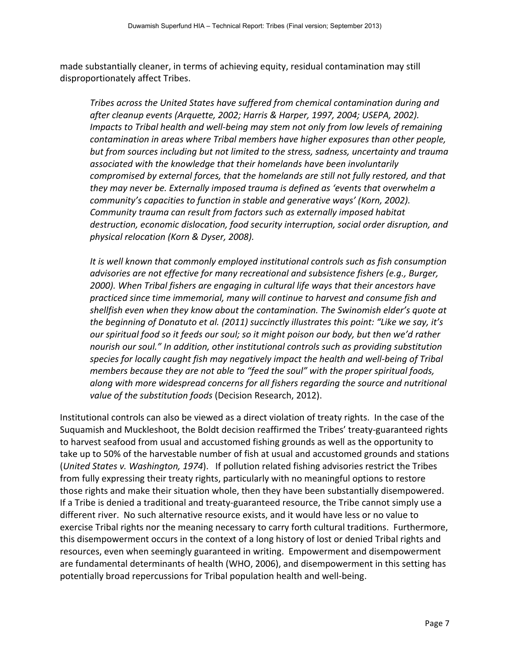made substantially cleaner, in terms of achieving equity, residual contamination may still disproportionately affect Tribes.

*Tribes across the United States have suffered from chemical contamination during and after(cleanup(events((Arquette,(2002;(Harris(&(Harper,(1997,(2004;(USEPA,(2002).( Impacts to Tribal health and well-being may stem not only from low levels of remaining contamination in areas where Tribal members have higher exposures than other people,* but from sources including but not limited to the stress, sadness, uncertainty and trauma associated with the knowledge that their homelands have been involuntarily compromised by external forces, that the homelands are still not fully restored, and that they may never be. Externally imposed trauma is defined as 'events that overwhelm a community's capacities to function in stable and generative ways' (Korn, 2002). *Community trauma can result from factors such as externally imposed habitat* destruction, economic dislocation, food security interruption, social order disruption, and *physical(relocation((Korn(&(Dyser,(2008).*

*It is well known that commonly employed institutional controls such as fish consumption advisories are not effective for many recreational and subsistence fishers (e.g., Burger,* 2000). When Tribal fishers are engaging in cultural life ways that their ancestors have practiced since time immemorial, many will continue to harvest and consume fish and shellfish even when they know about the contamination. The Swinomish elder's quote at the beginning of Donatuto et al. (2011) succinctly illustrates this point: "Like we say, it's our spiritual food so it feeds our soul; so it might poison our body, but then we'd rather nourish our soul." In addition, other institutional controls such as providing substitution species for locally caught fish may negatively impact the health and well-being of Tribal members because they are not able to "feed the soul" with the proper spiritual foods, along with more widespread concerns for all fishers regarding the source and nutritional value of the substitution foods (Decision Research, 2012).

Institutional controls can also be viewed as a direct violation of treaty rights. In the case of the Suquamish and Muckleshoot, the Boldt decision reaffirmed the Tribes' treaty-guaranteed rights to harvest seafood from usual and accustomed fishing grounds as well as the opportunity to take up to 50% of the harvestable number of fish at usual and accustomed grounds and stations (*United States v. Washington, 1974*). If pollution related fishing advisories restrict the Tribes from fully expressing their treaty rights, particularly with no meaningful options to restore those rights and make their situation whole, then they have been substantially disempowered. If a Tribe is denied a traditional and treaty-guaranteed resource, the Tribe cannot simply use a different river. No such alternative resource exists, and it would have less or no value to exercise Tribal rights nor the meaning necessary to carry forth cultural traditions. Furthermore, this disempowerment occurs in the context of a long history of lost or denied Tribal rights and resources, even when seemingly guaranteed in writing. Empowerment and disempowerment are fundamental determinants of health (WHO, 2006), and disempowerment in this setting has potentially broad repercussions for Tribal population health and well-being.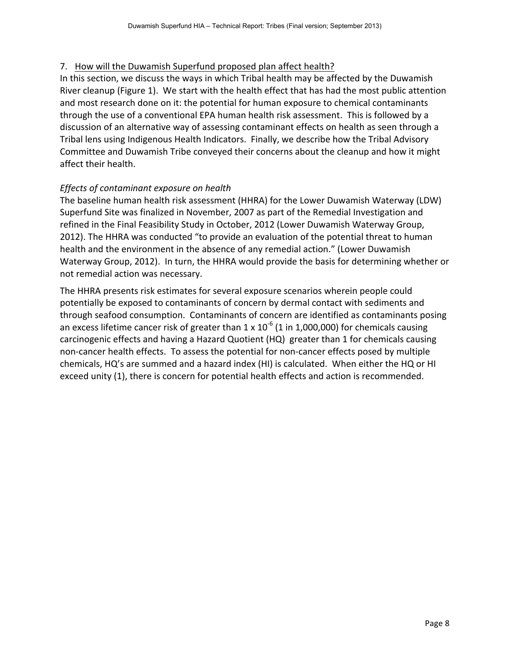# 7. How will the Duwamish Superfund proposed plan affect health?

In this section, we discuss the ways in which Tribal health may be affected by the Duwamish River cleanup (Figure 1). We start with the health effect that has had the most public attention and most research done on it: the potential for human exposure to chemical contaminants through the use of a conventional EPA human health risk assessment. This is followed by a discussion of an alternative way of assessing contaminant effects on health as seen through a Tribal lens using Indigenous Health Indicators. Finally, we describe how the Tribal Advisory Committee and Duwamish Tribe conveyed their concerns about the cleanup and how it might affect their health.

# *Effects of contaminant exposure on health*

The baseline human health risk assessment (HHRA) for the Lower Duwamish Waterway (LDW) Superfund Site was finalized in November, 2007 as part of the Remedial Investigation and refined in the Final Feasibility Study in October, 2012 (Lower Duwamish Waterway Group, 2012). The HHRA was conducted "to provide an evaluation of the potential threat to human health and the environment in the absence of any remedial action." (Lower Duwamish Waterway Group, 2012). In turn, the HHRA would provide the basis for determining whether or not remedial action was necessary.

The HHRA presents risk estimates for several exposure scenarios wherein people could potentially be exposed to contaminants of concern by dermal contact with sediments and through seafood consumption. Contaminants of concern are identified as contaminants posing an excess lifetime cancer risk of greater than  $1 \times 10^{-6}$  (1 in 1,000,000) for chemicals causing carcinogenic effects and having a Hazard Quotient (HQ) greater than 1 for chemicals causing non-cancer health effects. To assess the potential for non-cancer effects posed by multiple chemicals, HQ's are summed and a hazard index (HI) is calculated. When either the HQ or HI exceed unity (1), there is concern for potential health effects and action is recommended.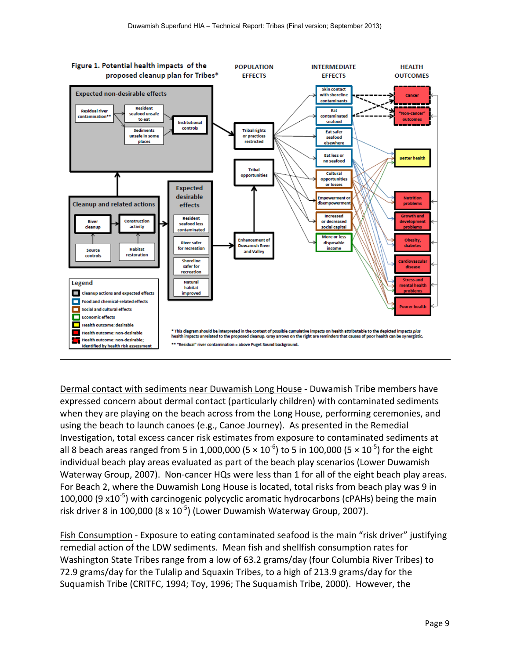

Dermal contact with sediments near Duwamish Long House - Duwamish Tribe members have expressed concern about dermal contact (particularly children) with contaminated sediments when they are playing on the beach across from the Long House, performing ceremonies, and using the beach to launch canoes (e.g., Canoe Journey). As presented in the Remedial Investigation, total excess cancer risk estimates from exposure to contaminated sediments at all 8 beach areas ranged from 5 in 1,000,000 (5  $\times$  10<sup>-6</sup>) to 5 in 100,000 (5  $\times$  10<sup>-5</sup>) for the eight individual beach play areas evaluated as part of the beach play scenarios (Lower Duwamish Waterway Group, 2007). Non-cancer HQs were less than 1 for all of the eight beach play areas. For Beach 2, where the Duwamish Long House is located, total risks from beach play was 9 in 100,000 (9  $\times$ 10<sup>-5</sup>) with carcinogenic polycyclic aromatic hydrocarbons (cPAHs) being the main risk driver 8 in 100,000 (8 x  $10^{-5}$ ) (Lower Duwamish Waterway Group, 2007).

Fish Consumption - Exposure to eating contaminated seafood is the main "risk driver" justifying remedial action of the LDW sediments. Mean fish and shellfish consumption rates for Washington State Tribes range from a low of 63.2 grams/day (four Columbia River Tribes) to 72.9 grams/day for the Tulalip and Squaxin Tribes, to a high of 213.9 grams/day for the Suquamish Tribe (CRITFC, 1994; Toy, 1996; The Suquamish Tribe, 2000). However, the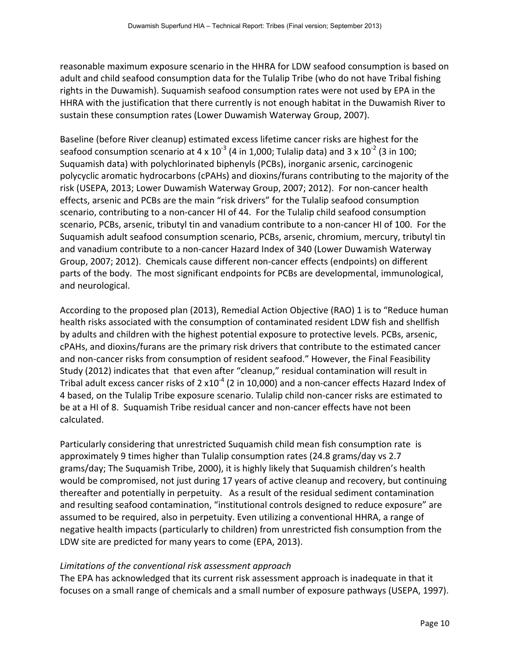reasonable maximum exposure scenario in the HHRA for LDW seafood consumption is based on adult and child seafood consumption data for the Tulalip Tribe (who do not have Tribal fishing rights in the Duwamish). Suquamish seafood consumption rates were not used by EPA in the HHRA with the justification that there currently is not enough habitat in the Duwamish River to sustain these consumption rates (Lower Duwamish Waterway Group, 2007).

Baseline (before River cleanup) estimated excess lifetime cancer risks are highest for the seafood consumption scenario at 4 x  $10^{-3}$  (4 in 1,000; Tulalip data) and 3 x  $10^{-2}$  (3 in 100; Suquamish data) with polychlorinated biphenyls (PCBs), inorganic arsenic, carcinogenic polycyclic aromatic hydrocarbons (cPAHs) and dioxins/furans contributing to the majority of the risk (USEPA, 2013; Lower Duwamish Waterway Group, 2007; 2012). For non-cancer health effects, arsenic and PCBs are the main "risk drivers" for the Tulalip seafood consumption scenario, contributing to a non-cancer HI of 44. For the Tulalip child seafood consumption scenario, PCBs, arsenic, tributyl tin and vanadium contribute to a non-cancer HI of 100. For the Suquamish adult seafood consumption scenario, PCBs, arsenic, chromium, mercury, tributyl tin and vanadium contribute to a non-cancer Hazard Index of 340 (Lower Duwamish Waterway Group, 2007; 2012). Chemicals cause different non-cancer effects (endpoints) on different parts of the body. The most significant endpoints for PCBs are developmental, immunological, and neurological.

According to the proposed plan (2013), Remedial Action Objective (RAO) 1 is to "Reduce human health risks associated with the consumption of contaminated resident LDW fish and shellfish by adults and children with the highest potential exposure to protective levels. PCBs, arsenic, cPAHs, and dioxins/furans are the primary risk drivers that contribute to the estimated cancer and non-cancer risks from consumption of resident seafood." However, the Final Feasibility Study (2012) indicates that that even after "cleanup," residual contamination will result in Tribal adult excess cancer risks of 2  $x10<sup>-4</sup>$  (2 in 10,000) and a non-cancer effects Hazard Index of 4 based, on the Tulalip Tribe exposure scenario. Tulalip child non-cancer risks are estimated to be at a HI of 8. Suquamish Tribe residual cancer and non-cancer effects have not been calculated.!!!!

Particularly considering that unrestricted Suquamish child mean fish consumption rate is approximately 9 times higher than Tulalip consumption rates (24.8 grams/day vs 2.7 grams/day; The Suquamish Tribe, 2000), it is highly likely that Suquamish children's health would be compromised, not just during 17 years of active cleanup and recovery, but continuing thereafter and potentially in perpetuity. As a result of the residual sediment contamination and resulting seafood contamination, "institutional controls designed to reduce exposure" are assumed to be required, also in perpetuity. Even utilizing a conventional HHRA, a range of negative health impacts (particularly to children) from unrestricted fish consumption from the LDW site are predicted for many years to come (EPA, 2013).

# Limitations of the conventional risk assessment approach

The EPA has acknowledged that its current risk assessment approach is inadequate in that it focuses on a small range of chemicals and a small number of exposure pathways (USEPA, 1997).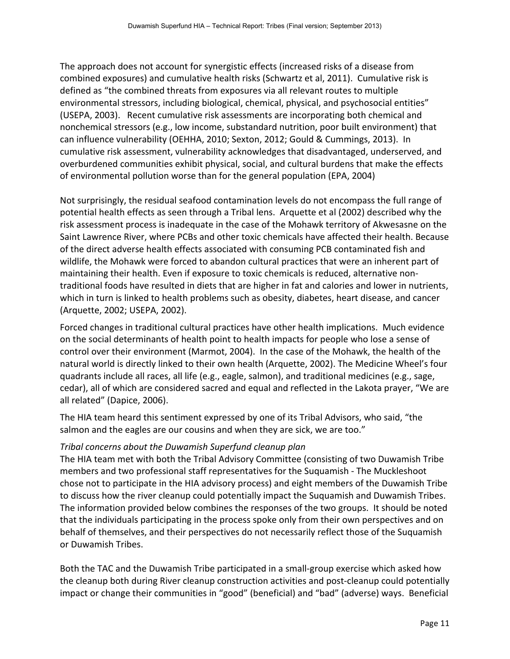The approach does not account for synergistic effects (increased risks of a disease from combined exposures) and cumulative health risks (Schwartz et al, 2011). Cumulative risk is defined as "the combined threats from exposures via all relevant routes to multiple environmental stressors, including biological, chemical, physical, and psychosocial entities" (USEPA, 2003). Recent cumulative risk assessments are incorporating both chemical and nonchemical stressors (e.g., low income, substandard nutrition, poor built environment) that can influence vulnerability (OEHHA, 2010; Sexton, 2012; Gould & Cummings, 2013). In cumulative risk assessment, vulnerability acknowledges that disadvantaged, underserved, and overburdened communities exhibit physical, social, and cultural burdens that make the effects of environmental pollution worse than for the general population (EPA, 2004)

Not surprisingly, the residual seafood contamination levels do not encompass the full range of potential health effects as seen through a Tribal lens. Arquette et al (2002) described why the risk assessment process is inadequate in the case of the Mohawk territory of Akwesasne on the Saint Lawrence River, where PCBs and other toxic chemicals have affected their health. Because of the direct adverse health effects associated with consuming PCB contaminated fish and wildlife, the Mohawk were forced to abandon cultural practices that were an inherent part of maintaining their health. Even if exposure to toxic chemicals is reduced, alternative nontraditional foods have resulted in diets that are higher in fat and calories and lower in nutrients, which in turn is linked to health problems such as obesity, diabetes, heart disease, and cancer (Arquette, 2002; USEPA, 2002).

Forced changes in traditional cultural practices have other health implications. Much evidence on the social determinants of health point to health impacts for people who lose a sense of control over their environment (Marmot, 2004). In the case of the Mohawk, the health of the natural world is directly linked to their own health (Arquette, 2002). The Medicine Wheel's four quadrants include all races, all life (e.g., eagle, salmon), and traditional medicines (e.g., sage, cedar), all of which are considered sacred and equal and reflected in the Lakota prayer, "We are all related" (Dapice, 2006).

The HIA team heard this sentiment expressed by one of its Tribal Advisors, who said, "the salmon and the eagles are our cousins and when they are sick, we are too."

# *Tribal* concerns about the Duwamish Superfund cleanup plan

The HIA team met with both the Tribal Advisory Committee (consisting of two Duwamish Tribe members and two professional staff representatives for the Suquamish - The Muckleshoot chose not to participate in the HIA advisory process) and eight members of the Duwamish Tribe to discuss how the river cleanup could potentially impact the Suquamish and Duwamish Tribes. The information provided below combines the responses of the two groups. It should be noted that the individuals participating in the process spoke only from their own perspectives and on behalf of themselves, and their perspectives do not necessarily reflect those of the Suquamish or Duwamish Tribes.

Both the TAC and the Duwamish Tribe participated in a small-group exercise which asked how the cleanup both during River cleanup construction activities and post-cleanup could potentially impact or change their communities in "good" (beneficial) and "bad" (adverse) ways. Beneficial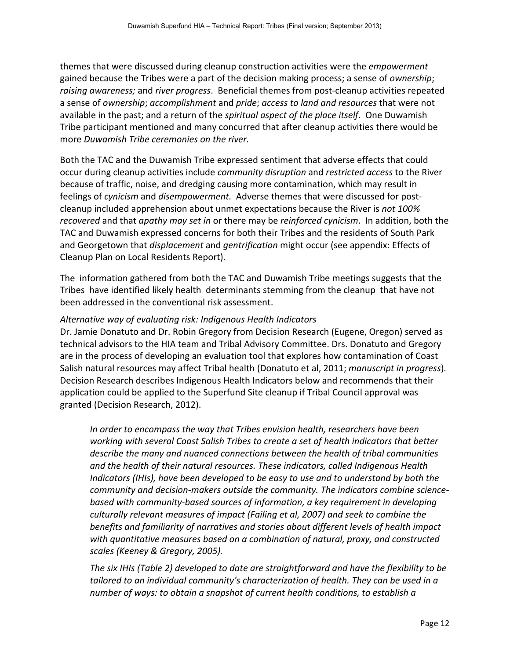themes that were discussed during cleanup construction activities were the *empowerment* gained because the Tribes were a part of the decision making process; a sense of *ownership*; raising awareness; and *river progress*. Beneficial themes from post-cleanup activities repeated a sense of *ownership*; *accomplishment* and *pride*; *access to land and resources* that were not available in the past; and a return of the *spiritual aspect of the place itself*. One Duwamish Tribe participant mentioned and many concurred that after cleanup activities there would be more *Duwamish Tribe ceremonies on the river.* 

Both the TAC and the Duwamish Tribe expressed sentiment that adverse effects that could occur during cleanup activities include *community disruption* and *restricted access* to the River because of traffic, noise, and dredging causing more contamination, which may result in feelings of *cynicism* and *disempowerment*. Adverse themes that were discussed for postcleanup included apprehension about unmet expectations because the River is *not 100% recovered* and that *apathy may set in or there may be reinforced cynicism.* In addition, both the TAC and Duwamish expressed concerns for both their Tribes and the residents of South Park and Georgetown that *displacement* and *gentrification* might occur (see appendix: Effects of Cleanup Plan on Local Residents Report).

The information gathered from both the TAC and Duwamish Tribe meetings suggests that the Tribes have identified likely health determinants stemming from the cleanup that have not been addressed in the conventional risk assessment.

## Alternative way of evaluating risk: Indigenous Health Indicators

Dr. Jamie Donatuto and Dr. Robin Gregory from Decision Research (Eugene, Oregon) served as technical advisors to the HIA team and Tribal Advisory Committee. Drs. Donatuto and Gregory are in the process of developing an evaluation tool that explores how contamination of Coast Salish natural resources may affect Tribal health (Donatuto et al, 2011; *manuscript in progress*). Decision Research describes Indigenous Health Indicators below and recommends that their application could be applied to the Superfund Site cleanup if Tribal Council approval was granted (Decision Research, 2012).

*In order to encompass the way that Tribes envision health, researchers have been* working with several Coast Salish Tribes to create a set of health indicators that better describe the many and nuanced connections between the health of tribal communities *and the health of their natural resources. These indicators, called Indigenous Health Indicators (IHIs), have been developed to be easy to use and to understand by both the community and decision-makers outside the community. The indicators combine science*based with community-based sources of information, a key requirement in developing culturally relevant measures of impact (Failing et al, 2007) and seek to combine the benefits and familiarity of narratives and stories about different levels of health impact with quantitative measures based on a combination of natural, proxy, and constructed *scales((Keeney(&(Gregory,(2005).*

The six IHIs (Table 2) developed to date are straightforward and have the flexibility to be tailored to an individual community's characterization of health. They can be used in a *number of ways: to obtain a snapshot of current health conditions, to establish a*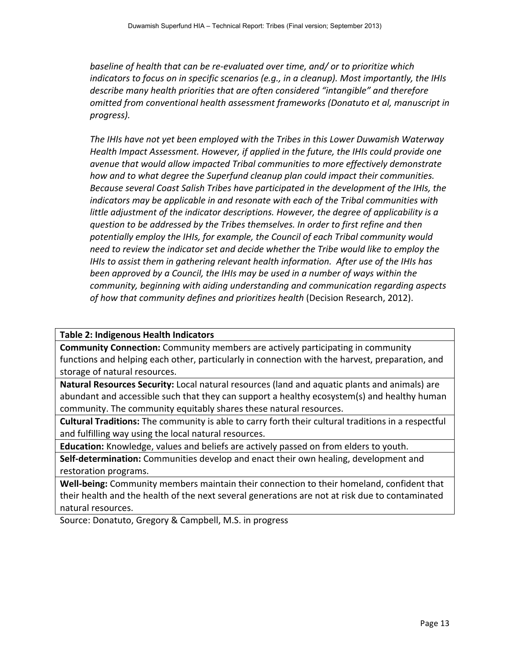baseline of health that can be re-evaluated over time, and/ or to prioritize which *indicators to focus on in specific scenarios (e.g., in a cleanup). Most importantly, the IHIs* describe many health priorities that are often considered "intangible" and therefore *omitted(from(conventional(health(assessment(frameworks((Donatuto(et(al,(manuscript(in( progress).*

The IHIs have not yet been employed with the Tribes in this Lower Duwamish Waterway Health Impact Assessment. However, if applied in the future, the IHIs could provide one avenue that would allow impacted Tribal communities to more effectively demonstrate how and to what degree the Superfund cleanup plan could impact their communities. Because several Coast Salish Tribes have participated in the development of the IHIs, the *indicators may be applicable in and resonate with each of the Tribal communities with* little adjustment of the indicator descriptions. However, the degree of applicability is a question to be addressed by the Tribes themselves. In order to first refine and then potentially employ the IHIs, for example, the Council of each Tribal community would *need to review the indicator set and decide whether the Tribe would like to employ the IHIs to assist them in gathering relevant health information. After use of the IHIs has* been approved by a Council, the IHIs may be used in a number of ways within the *community, beginning with aiding understanding and communication regarding aspects* of how that community defines and prioritizes health (Decision Research, 2012).

## **Table 2: Indigenous Health Indicators**

**Community Connection:** Community members are actively participating in community functions and helping each other, particularly in connection with the harvest, preparation, and storage of natural resources.

**Natural Resources Security:** Local natural resources (land and aquatic plants and animals) are abundant and accessible such that they can support a healthy ecosystem(s) and healthy human community. The community equitably shares these natural resources.

**Cultural Traditions:** The community is able to carry forth their cultural traditions in a respectful and fulfilling way using the local natural resources.

**Education:** Knowledge, values and beliefs are actively passed on from elders to youth.

**Self-determination:** Communities develop and enact their own healing, development and restoration programs.

**Well-being:** Community members maintain their connection to their homeland, confident that their health and the health of the next several generations are not at risk due to contaminated natural resources.

Source: Donatuto, Gregory & Campbell, M.S. in progress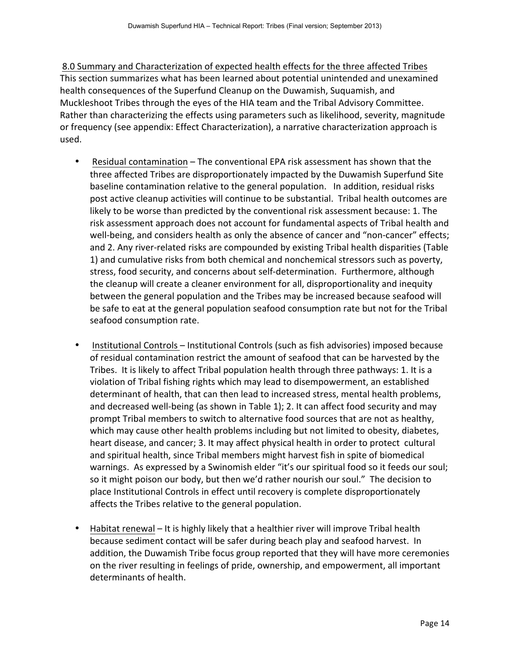8.0 Summary and Characterization of expected health effects for the three affected Tribes This section summarizes what has been learned about potential unintended and unexamined health consequences of the Superfund Cleanup on the Duwamish, Suquamish, and Muckleshoot Tribes through the eyes of the HIA team and the Tribal Advisory Committee. Rather than characterizing the effects using parameters such as likelihood, severity, magnitude or frequency (see appendix: Effect Characterization), a narrative characterization approach is used.

- Residual contamination The conventional EPA risk assessment has shown that the three affected Tribes are disproportionately impacted by the Duwamish Superfund Site baseline contamination relative to the general population. In addition, residual risks post active cleanup activities will continue to be substantial. Tribal health outcomes are likely to be worse than predicted by the conventional risk assessment because: 1. The risk assessment approach does not account for fundamental aspects of Tribal health and well-being, and considers health as only the absence of cancer and "non-cancer" effects; and 2. Any river-related risks are compounded by existing Tribal health disparities (Table 1) and cumulative risks from both chemical and nonchemical stressors such as poverty, stress, food security, and concerns about self-determination. Furthermore, although the cleanup will create a cleaner environment for all, disproportionality and inequity between the general population and the Tribes may be increased because seafood will be safe to eat at the general population seafood consumption rate but not for the Tribal seafood consumption rate.
- Institutional Controls Institutional Controls (such as fish advisories) imposed because of residual contamination restrict the amount of seafood that can be harvested by the Tribes. It is likely to affect Tribal population health through three pathways: 1. It is a violation of Tribal fishing rights which may lead to disempowerment, an established determinant of health, that can then lead to increased stress, mental health problems, and decreased well-being (as shown in Table 1); 2. It can affect food security and may prompt Tribal members to switch to alternative food sources that are not as healthy, which may cause other health problems including but not limited to obesity, diabetes, heart disease, and cancer; 3. It may affect physical health in order to protect cultural and spiritual health, since Tribal members might harvest fish in spite of biomedical warnings. As expressed by a Swinomish elder "it's our spiritual food so it feeds our soul; so it might poison our body, but then we'd rather nourish our soul." The decision to place Institutional Controls in effect until recovery is complete disproportionately affects the Tribes relative to the general population.
- Habitat renewal It is highly likely that a healthier river will improve Tribal health because sediment contact will be safer during beach play and seafood harvest. In addition, the Duwamish Tribe focus group reported that they will have more ceremonies on the river resulting in feelings of pride, ownership, and empowerment, all important determinants of health.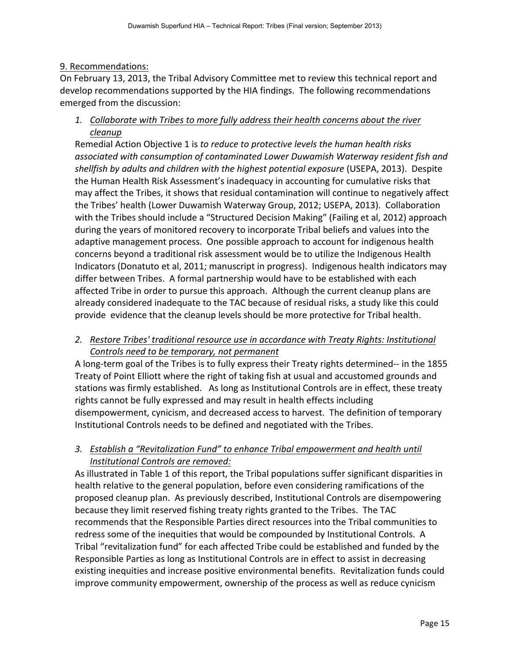## 9. Recommendations:

On February 13, 2013, the Tribal Advisory Committee met to review this technical report and develop recommendations supported by the HIA findings. The following recommendations emerged from the discussion:

1. Collaborate with Tribes to more fully address their health concerns about the river *cleanup*

Remedial Action Objective 1 is to reduce to protective levels the human health risks associated with consumption of contaminated Lower Duwamish Waterway resident fish and shellfish by adults and children with the highest potential exposure (USEPA, 2013). Despite the Human Health Risk Assessment's inadequacy in accounting for cumulative risks that may affect the Tribes, it shows that residual contamination will continue to negatively affect the Tribes' health (Lower Duwamish Waterway Group, 2012; USEPA, 2013). Collaboration with the Tribes should include a "Structured Decision Making" (Failing et al, 2012) approach during the years of monitored recovery to incorporate Tribal beliefs and values into the adaptive management process. One possible approach to account for indigenous health concerns beyond a traditional risk assessment would be to utilize the Indigenous Health Indicators (Donatuto et al, 2011; manuscript in progress). Indigenous health indicators may differ between Tribes. A formal partnership would have to be established with each affected Tribe in order to pursue this approach. Although the current cleanup plans are already considered inadequate to the TAC because of residual risks, a study like this could provide evidence that the cleanup levels should be more protective for Tribal health.

# 2. Restore Tribes' traditional resource use in accordance with Treaty Rights: Institutional Controls need to be temporary, not permanent

A long-term goal of the Tribes is to fully express their Treaty rights determined-- in the 1855 Treaty of Point Elliott where the right of taking fish at usual and accustomed grounds and stations was firmly established. As long as Institutional Controls are in effect, these treaty rights cannot be fully expressed and may result in health effects including disempowerment, cynicism, and decreased access to harvest. The definition of temporary Institutional Controls needs to be defined and negotiated with the Tribes.

# 3. Establish a "Revitalization Fund" to enhance Tribal empowerment and health until **Institutional Controls are removed:**

As illustrated in Table 1 of this report, the Tribal populations suffer significant disparities in health relative to the general population, before even considering ramifications of the proposed cleanup plan. As previously described, Institutional Controls are disempowering because they limit reserved fishing treaty rights granted to the Tribes. The TAC recommends that the Responsible Parties direct resources into the Tribal communities to redress some of the inequities that would be compounded by Institutional Controls. A Tribal "revitalization fund" for each affected Tribe could be established and funded by the Responsible Parties as long as Institutional Controls are in effect to assist in decreasing existing inequities and increase positive environmental benefits. Revitalization funds could improve community empowerment, ownership of the process as well as reduce cynicism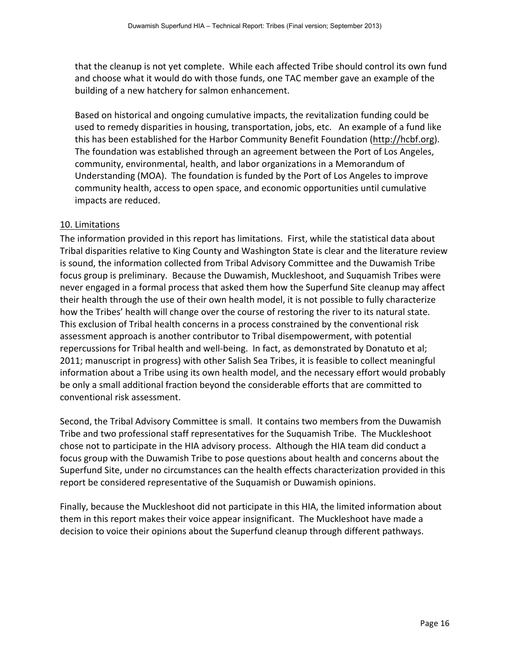that the cleanup is not yet complete. While each affected Tribe should control its own fund and choose what it would do with those funds, one TAC member gave an example of the building of a new hatchery for salmon enhancement.

Based on historical and ongoing cumulative impacts, the revitalization funding could be used to remedy disparities in housing, transportation, jobs, etc. An example of a fund like this has been established for the Harbor Community Benefit Foundation (http://hcbf.org). The foundation was established through an agreement between the Port of Los Angeles, community, environmental, health, and labor organizations in a Memorandum of Understanding (MOA). The foundation is funded by the Port of Los Angeles to improve community health, access to open space, and economic opportunities until cumulative impacts are reduced.

## 10. Limitations

The information provided in this report has limitations. First, while the statistical data about Tribal disparities relative to King County and Washington State is clear and the literature review is sound, the information collected from Tribal Advisory Committee and the Duwamish Tribe focus group is preliminary. Because the Duwamish, Muckleshoot, and Suquamish Tribes were never engaged in a formal process that asked them how the Superfund Site cleanup may affect their health through the use of their own health model, it is not possible to fully characterize how the Tribes' health will change over the course of restoring the river to its natural state. This exclusion of Tribal health concerns in a process constrained by the conventional risk assessment approach is another contributor to Tribal disempowerment, with potential repercussions for Tribal health and well-being. In fact, as demonstrated by Donatuto et al; 2011; manuscript in progress) with other Salish Sea Tribes, it is feasible to collect meaningful information about a Tribe using its own health model, and the necessary effort would probably be only a small additional fraction beyond the considerable efforts that are committed to conventional risk assessment.

Second, the Tribal Advisory Committee is small. It contains two members from the Duwamish Tribe and two professional staff representatives for the Suquamish Tribe. The Muckleshoot chose not to participate in the HIA advisory process. Although the HIA team did conduct a focus group with the Duwamish Tribe to pose questions about health and concerns about the Superfund Site, under no circumstances can the health effects characterization provided in this report be considered representative of the Suquamish or Duwamish opinions.

Finally, because the Muckleshoot did not participate in this HIA, the limited information about them in this report makes their voice appear insignificant. The Muckleshoot have made a decision to voice their opinions about the Superfund cleanup through different pathways.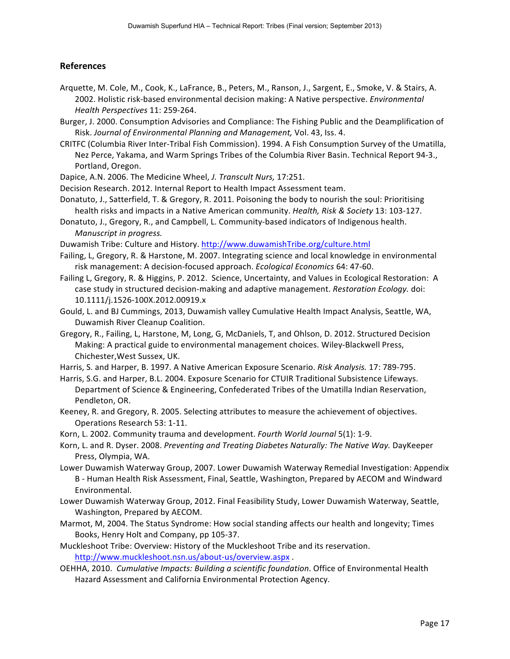#### **References)**

- Arquette, M. Cole, M., Cook, K., LaFrance, B., Peters, M., Ranson, J., Sargent, E., Smoke, V. & Stairs, A. 2002. Holistic risk-based environmental decision making: A Native perspective. *Environmental Health Perspectives* 11: 259-264.
- Burger, J. 2000. Consumption Advisories and Compliance: The Fishing Public and the Deamplification of Risk. Journal of Environmental Planning and Management, Vol. 43, Iss. 4.
- CRITFC (Columbia River Inter-Tribal Fish Commission). 1994. A Fish Consumption Survey of the Umatilla, Nez Perce, Yakama, and Warm Springs Tribes of the Columbia River Basin. Technical Report 94-3., Portland, Oregon.
- Dapice, A.N. 2006. The Medicine Wheel, *J. Transcult Nurs,* 17:251.
- Decision Research. 2012. Internal Report to Health Impact Assessment team.
- Donatuto, J., Satterfield, T. & Gregory, R. 2011. Poisoning the body to nourish the soul: Prioritising health risks and impacts in a Native American community. *Health, Risk & Society* 13: 103-127.
- Donatuto, J., Gregory, R., and Campbell, L. Community-based indicators of Indigenous health. *Manuscript in progress.*
- Duwamish Tribe: Culture and History. http://www.duwamishTribe.org/culture.html
- Failing, L, Gregory, R. & Harstone, M. 2007. Integrating science and local knowledge in environmental risk management: A decision-focused approach. *Ecological Economics* 64: 47-60.
- Failing L, Gregory, R. & Higgins, P. 2012. Science, Uncertainty, and Values in Ecological Restoration: A case study in structured decision-making and adaptive management. *Restoration Ecology.* doi: 10.1111/j.1526-100X.2012.00919.x
- Gould, L. and BJ Cummings, 2013, Duwamish valley Cumulative Health Impact Analysis, Seattle, WA, Duwamish River Cleanup Coalition.
- Gregory, R., Failing, L, Harstone, M, Long, G, McDaniels, T, and Ohlson, D. 2012. Structured Decision Making: A practical guide to environmental management choices. Wiley-Blackwell Press, Chichester, West Sussex, UK.
- Harris, S. and Harper, B. 1997. A Native American Exposure Scenario. Risk Analysis. 17: 789-795.
- Harris, S.G. and Harper, B.L. 2004. Exposure Scenario for CTUIR Traditional Subsistence Lifeways. Department of Science & Engineering, Confederated Tribes of the Umatilla Indian Reservation, Pendleton, OR.
- Keeney, R. and Gregory, R. 2005. Selecting attributes to measure the achievement of objectives. Operations Research 53: 1-11.
- Korn, L. 2002. Community trauma and development. *Fourth World Journal* 5(1): 1-9.
- Korn, L. and R. Dyser. 2008. *Preventing and Treating Diabetes Naturally: The Native Way. DayKeeper* Press, Olympia, WA.
- Lower Duwamish Waterway Group, 2007. Lower Duwamish Waterway Remedial Investigation: Appendix B - Human Health Risk Assessment, Final, Seattle, Washington, Prepared by AECOM and Windward Environmental.
- Lower Duwamish Waterway Group, 2012. Final Feasibility Study, Lower Duwamish Waterway, Seattle, Washington, Prepared by AECOM.
- Marmot, M, 2004. The Status Syndrome: How social standing affects our health and longevity; Times Books, Henry Holt and Company, pp 105-37.
- Muckleshoot Tribe: Overview: History of the Muckleshoot Tribe and its reservation. http://www.muckleshoot.nsn.us/about-us/overview.aspx.
- OEHHA, 2010. *Cumulative Impacts: Building a scientific foundation*. Office of Environmental Health Hazard Assessment and California Environmental Protection Agency.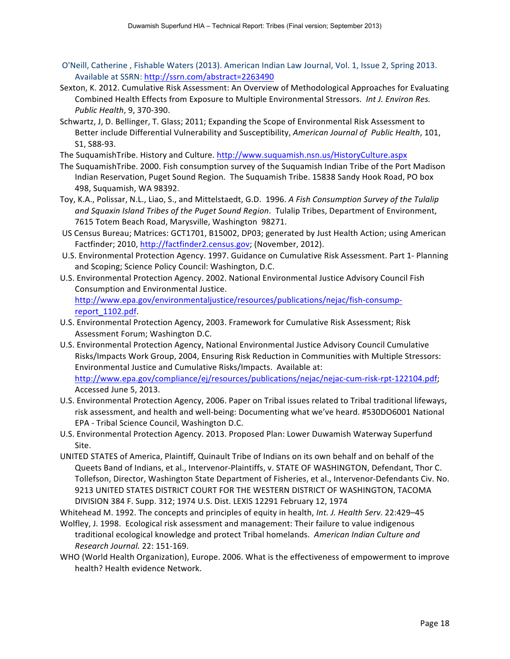- O'Neill, Catherine, Fishable Waters (2013). American Indian Law Journal, Vol. 1, Issue 2, Spring 2013. Available at SSRN: http://ssrn.com/abstract=2263490
- Sexton, K. 2012. Cumulative Risk Assessment: An Overview of Methodological Approaches for Evaluating Combined Health Effects from Exposure to Multiple Environmental Stressors. *Int J. Environ Res. Public Health*, 9, 370-390.
- Schwartz, J, D. Bellinger, T. Glass; 2011; Expanding the Scope of Environmental Risk Assessment to Better include Differential Vulnerability and Susceptibility, *American Journal of Public Health*, 101, S1, S88-93.

The SuquamishTribe. History and Culture. http://www.suquamish.nsn.us/HistoryCulture.aspx

- The SuquamishTribe. 2000. Fish consumption survey of the Suquamish Indian Tribe of the Port Madison Indian Reservation, Puget Sound Region. The Suquamish Tribe. 15838 Sandy Hook Road, PO box 498, Suquamish, WA 98392.
- Toy, K.A., Polissar, N.L., Liao, S., and Mittelstaedt, G.D. 1996. A Fish Consumption Survey of the Tulalip and Squaxin Island Tribes of the Puget Sound Region. Tulalip Tribes, Department of Environment, 7615 Totem Beach Road, Marysville, Washington 98271.
- US Census Bureau; Matrices: GCT1701, B15002, DP03; generated by Just Health Action; using American Factfinder; 2010, http://factfinder2.census.gov; (November, 2012).
- U.S. Environmental Protection Agency. 1997. Guidance on Cumulative Risk Assessment. Part 1- Planning and Scoping; Science Policy Council: Washington, D.C.
- U.S. Environmental Protection Agency. 2002. National Environmental Justice Advisory Council Fish Consumption and Environmental Justice. http://www.epa.gov/environmentaljustice/resources/publications/nejac/fish-consumpreport\_1102.pdf.
- U.S. Environmental Protection Agency, 2003. Framework for Cumulative Risk Assessment; Risk Assessment Forum; Washington D.C.
- U.S. Environmental Protection Agency, National Environmental Justice Advisory Council Cumulative Risks/Impacts Work Group, 2004, Ensuring Risk Reduction in Communities with Multiple Stressors: Environmental Justice and Cumulative Risks/Impacts. Available at: http://www.epa.gov/compliance/ej/resources/publications/nejac/nejac-cum-risk-rpt-122104.pdf; Accessed June 5, 2013.
- U.S. Environmental Protection Agency, 2006. Paper on Tribal issues related to Tribal traditional lifeways, risk assessment, and health and well-being: Documenting what we've heard. #530DO6001 National EPA - Tribal Science Council, Washington D.C.
- U.S. Environmental Protection Agency. 2013. Proposed Plan: Lower Duwamish Waterway Superfund Site.
- UNITED STATES of America, Plaintiff, Quinault Tribe of Indians on its own behalf and on behalf of the Queets Band of Indians, et al., Intervenor-Plaintiffs, v. STATE OF WASHINGTON, Defendant, Thor C. Tollefson, Director, Washington State Department of Fisheries, et al., Intervenor-Defendants Civ. No. 9213 UNITED STATES DISTRICT COURT FOR THE WESTERN DISTRICT OF WASHINGTON, TACOMA DIVISION 384 F. Supp. 312; 1974 U.S. Dist. LEXIS 12291 February 12, 1974

Whitehead M. 1992. The concepts and principles of equity in health, Int. J. Health Serv. 22:429-45

- Wolfley, J. 1998. Ecological risk assessment and management: Their failure to value indigenous traditional ecological knowledge and protect Tribal homelands. American Indian Culture and *Research Journal.* 22: 151-169.
- WHO (World Health Organization), Europe. 2006. What is the effectiveness of empowerment to improve health? Health evidence Network.